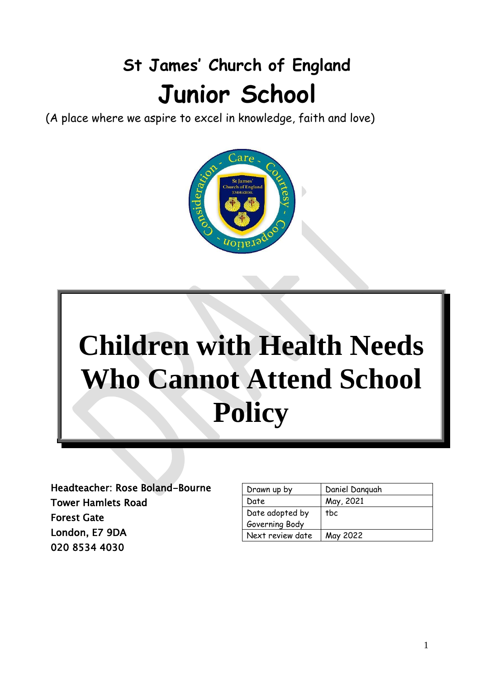# **St James' Church of England Junior School**

(A place where we aspire to excel in knowledge, faith and love)





Headteacher: Rose Boland-Bourne Tower Hamlets Road Forest Gate London, E7 9DA 020 8534 4030

| Drawn up by      | Daniel Danguah |
|------------------|----------------|
| Date             | May, 2021      |
| Date adopted by  | tbc            |
| Governing Body   |                |
| Next review date | May 2022       |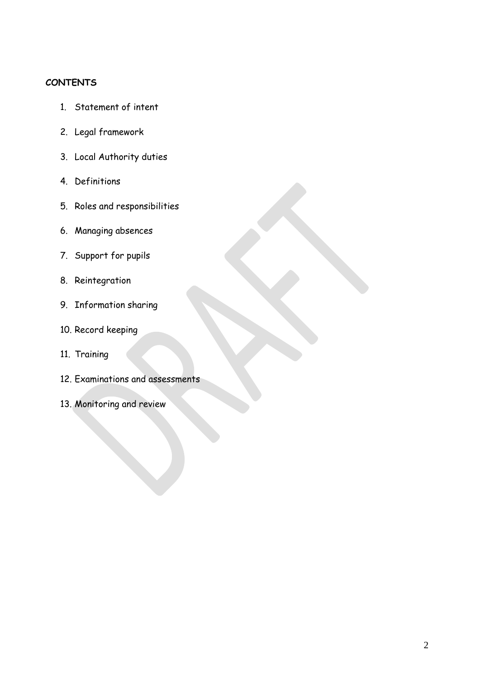#### **CONTENTS**

- 1. Statement of intent
- 2. Legal framework
- 3. Local Authority duties
- 4. Definitions
- 5. Roles and responsibilities
- 6. Managing absences
- 7. Support for pupils
- 8. Reintegration
- 9. Information sharing
- 10. Record keeping
- 11. Training
- 12. Examinations and assessments
- 13. Monitoring and review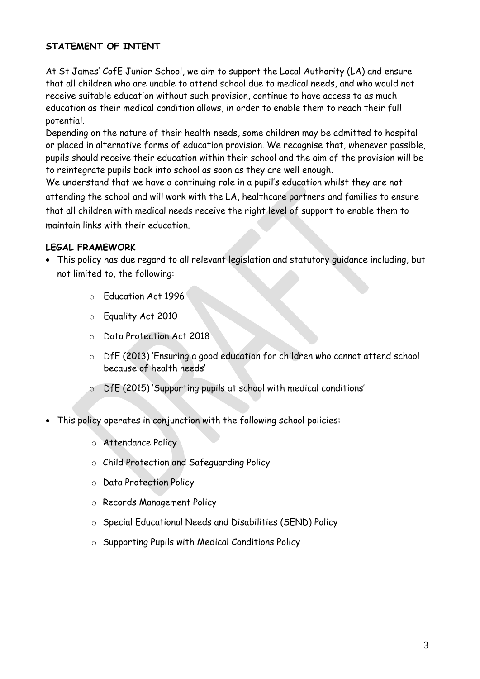# **STATEMENT OF INTENT**

At St James' CofE Junior School, we aim to support the Local Authority (LA) and ensure that all children who are unable to attend school due to medical needs, and who would not receive suitable education without such provision, continue to have access to as much education as their medical condition allows, in order to enable them to reach their full potential.

Depending on the nature of their health needs, some children may be admitted to hospital or placed in alternative forms of education provision. We recognise that, whenever possible, pupils should receive their education within their school and the aim of the provision will be to reintegrate pupils back into school as soon as they are well enough.

We understand that we have a continuing role in a pupil's education whilst they are not attending the school and will work with the LA, healthcare partners and families to ensure that all children with medical needs receive the right level of support to enable them to maintain links with their education.

## **LEGAL FRAMEWORK**

- This policy has due regard to all relevant legislation and statutory guidance including, but not limited to, the following:
	- o Education Act 1996
	- o Equality Act 2010
	- o Data Protection Act 2018
	- o DfE (2013) 'Ensuring a good education for children who cannot attend school because of health needs'
	- o DfE (2015) 'Supporting pupils at school with medical conditions'
- This policy operates in conjunction with the following school policies:
	- o Attendance Policy
	- o Child Protection and Safeguarding Policy
	- o Data Protection Policy
	- o Records Management Policy
	- o Special Educational Needs and Disabilities (SEND) Policy
	- o Supporting Pupils with Medical Conditions Policy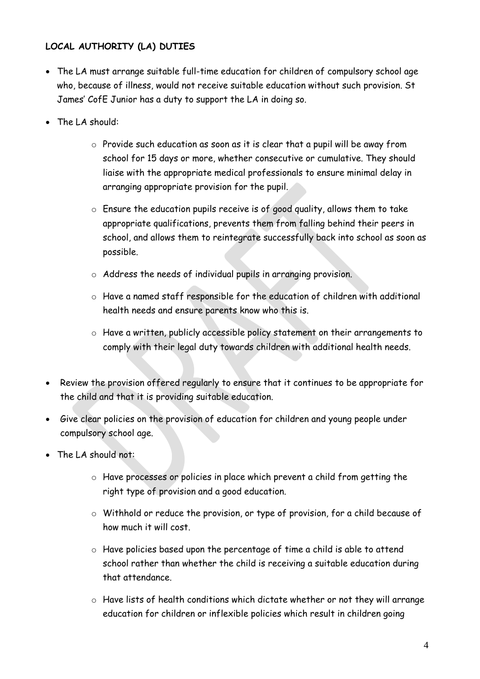# **LOCAL AUTHORITY (LA) DUTIES**

- The LA must arrange suitable full-time education for children of compulsory school age who, because of illness, would not receive suitable education without such provision. St James' CofE Junior has a duty to support the LA in doing so.
- The LA should:
	- o Provide such education as soon as it is clear that a pupil will be away from school for 15 days or more, whether consecutive or cumulative. They should liaise with the appropriate medical professionals to ensure minimal delay in arranging appropriate provision for the pupil.
	- $\circ$  Ensure the education pupils receive is of good quality, allows them to take appropriate qualifications, prevents them from falling behind their peers in school, and allows them to reintegrate successfully back into school as soon as possible.
	- o Address the needs of individual pupils in arranging provision.
	- o Have a named staff responsible for the education of children with additional health needs and ensure parents know who this is.
	- o Have a written, publicly accessible policy statement on their arrangements to comply with their legal duty towards children with additional health needs.
- Review the provision offered regularly to ensure that it continues to be appropriate for the child and that it is providing suitable education.
- Give clear policies on the provision of education for children and young people under compulsory school age.
- The LA should not:
	- o Have processes or policies in place which prevent a child from getting the right type of provision and a good education.
	- o Withhold or reduce the provision, or type of provision, for a child because of how much it will cost.
	- o Have policies based upon the percentage of time a child is able to attend school rather than whether the child is receiving a suitable education during that attendance.
	- o Have lists of health conditions which dictate whether or not they will arrange education for children or inflexible policies which result in children going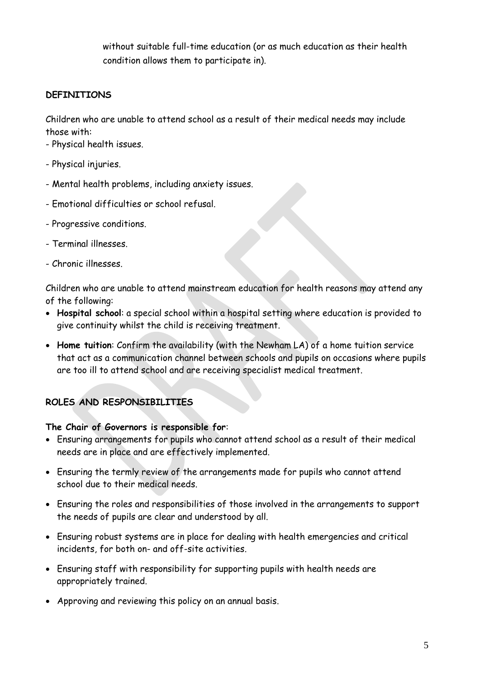without suitable full-time education (or as much education as their health condition allows them to participate in).

# **DEFINITIONS**

Children who are unable to attend school as a result of their medical needs may include those with:

- Physical health issues.
- Physical injuries.
- Mental health problems, including anxiety issues.
- Emotional difficulties or school refusal.
- Progressive conditions.
- Terminal illnesses.
- Chronic illnesses.

Children who are unable to attend mainstream education for health reasons may attend any of the following:

- **Hospital school**: a special school within a hospital setting where education is provided to give continuity whilst the child is receiving treatment.
- **Home tuition**: Confirm the availability (with the Newham LA) of a home tuition service that act as a communication channel between schools and pupils on occasions where pupils are too ill to attend school and are receiving specialist medical treatment.

# **ROLES AND RESPONSIBILITIES**

## **The Chair of Governors is responsible for**:

- Ensuring arrangements for pupils who cannot attend school as a result of their medical needs are in place and are effectively implemented.
- Ensuring the termly review of the arrangements made for pupils who cannot attend school due to their medical needs.
- Ensuring the roles and responsibilities of those involved in the arrangements to support the needs of pupils are clear and understood by all.
- Ensuring robust systems are in place for dealing with health emergencies and critical incidents, for both on- and off-site activities.
- Ensuring staff with responsibility for supporting pupils with health needs are appropriately trained.
- Approving and reviewing this policy on an annual basis.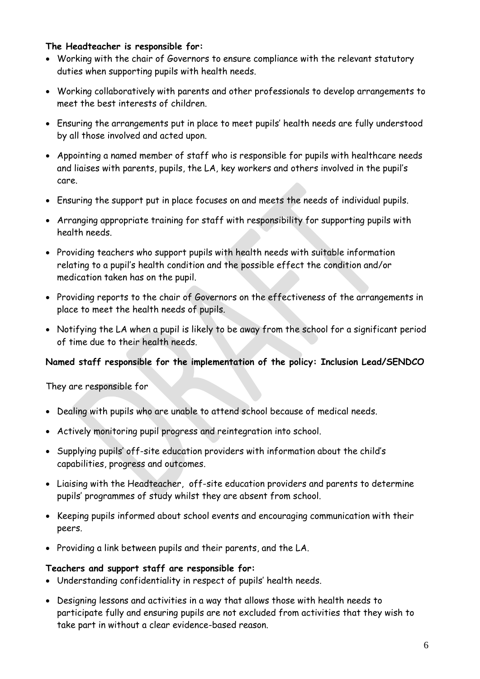#### **The Headteacher is responsible for:**

- Working with the chair of Governors to ensure compliance with the relevant statutory duties when supporting pupils with health needs.
- Working collaboratively with parents and other professionals to develop arrangements to meet the best interests of children.
- Ensuring the arrangements put in place to meet pupils' health needs are fully understood by all those involved and acted upon.
- Appointing a named member of staff who is responsible for pupils with healthcare needs and liaises with parents, pupils, the LA, key workers and others involved in the pupil's care.
- Ensuring the support put in place focuses on and meets the needs of individual pupils.
- Arranging appropriate training for staff with responsibility for supporting pupils with health needs.
- Providing teachers who support pupils with health needs with suitable information relating to a pupil's health condition and the possible effect the condition and/or medication taken has on the pupil.
- Providing reports to the chair of Governors on the effectiveness of the arrangements in place to meet the health needs of pupils.
- Notifying the LA when a pupil is likely to be away from the school for a significant period of time due to their health needs.

## **Named staff responsible for the implementation of the policy: Inclusion Lead/SENDCO**

They are responsible for

- Dealing with pupils who are unable to attend school because of medical needs.
- Actively monitoring pupil progress and reintegration into school.
- Supplying pupils' off-site education providers with information about the child's capabilities, progress and outcomes.
- Liaising with the Headteacher, off-site education providers and parents to determine pupils' programmes of study whilst they are absent from school.
- Keeping pupils informed about school events and encouraging communication with their peers.
- Providing a link between pupils and their parents, and the LA.

#### **Teachers and support staff are responsible for:**

- Understanding confidentiality in respect of pupils' health needs.
- Designing lessons and activities in a way that allows those with health needs to participate fully and ensuring pupils are not excluded from activities that they wish to take part in without a clear evidence-based reason.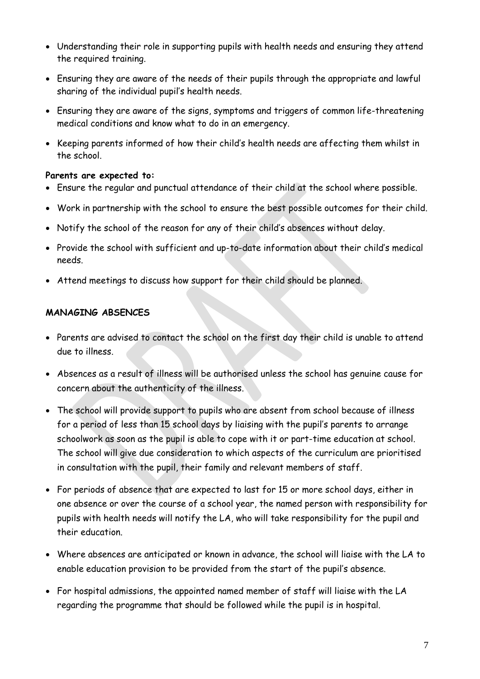- Understanding their role in supporting pupils with health needs and ensuring they attend the required training.
- Ensuring they are aware of the needs of their pupils through the appropriate and lawful sharing of the individual pupil's health needs.
- Ensuring they are aware of the signs, symptoms and triggers of common life-threatening medical conditions and know what to do in an emergency.
- Keeping parents informed of how their child's health needs are affecting them whilst in the school.

## **Parents are expected to:**

- Ensure the regular and punctual attendance of their child at the school where possible.
- Work in partnership with the school to ensure the best possible outcomes for their child.
- Notify the school of the reason for any of their child's absences without delay.
- Provide the school with sufficient and up-to-date information about their child's medical needs.
- Attend meetings to discuss how support for their child should be planned.

## **MANAGING ABSENCES**

- Parents are advised to contact the school on the first day their child is unable to attend due to illness.
- Absences as a result of illness will be authorised unless the school has genuine cause for concern about the authenticity of the illness.
- The school will provide support to pupils who are absent from school because of illness for a period of less than 15 school days by liaising with the pupil's parents to arrange schoolwork as soon as the pupil is able to cope with it or part-time education at school. The school will give due consideration to which aspects of the curriculum are prioritised in consultation with the pupil, their family and relevant members of staff.
- For periods of absence that are expected to last for 15 or more school days, either in one absence or over the course of a school year, the named person with responsibility for pupils with health needs will notify the LA, who will take responsibility for the pupil and their education.
- Where absences are anticipated or known in advance, the school will liaise with the LA to enable education provision to be provided from the start of the pupil's absence.
- For hospital admissions, the appointed named member of staff will liaise with the LA regarding the programme that should be followed while the pupil is in hospital.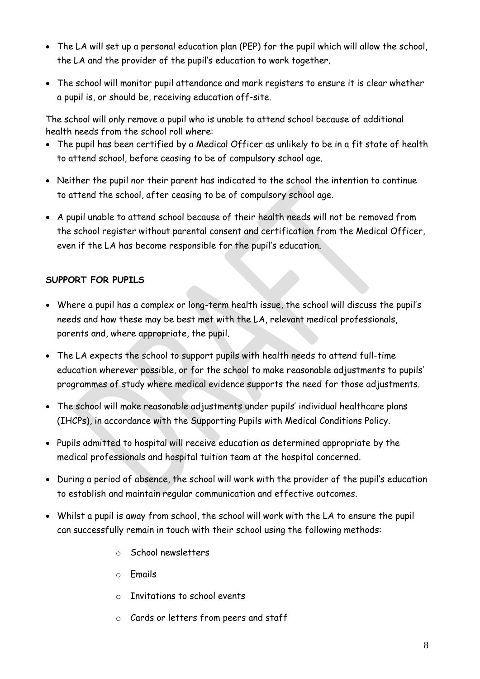- The LA will set up a personal education plan (PEP) for the pupil which will allow the school, the LA and the provider of the pupil's education to work together.
- The school will monitor pupil attendance and mark registers to ensure it is clear whether a pupil is, or should be, receiving education off-site.

The school will only remove a pupil who is unable to attend school because of additional health needs from the school roll where:

- The pupil has been certified by a Medical Officer as unlikely to be in a fit state of health to attend school, before ceasing to be of compulsory school age.
- Neither the pupil nor their parent has indicated to the school the intention to continue to attend the school, after ceasing to be of compulsory school age.
- A pupil unable to attend school because of their health needs will not be removed from the school register without parental consent and certification from the Medical Officer, even if the LA has become responsible for the pupil's education.

# **SUPPORT FOR PUPILS**

- Where a pupil has a complex or long-term health issue, the school will discuss the pupil's needs and how these may be best met with the LA, relevant medical professionals, parents and, where appropriate, the pupil.
- The LA expects the school to support pupils with health needs to attend full-time education wherever possible, or for the school to make reasonable adjustments to pupils' programmes of study where medical evidence supports the need for those adjustments.
- The school will make reasonable adjustments under pupils' individual healthcare plans (IHCPs), in accordance with the Supporting Pupils with Medical Conditions Policy.
- Pupils admitted to hospital will receive education as determined appropriate by the medical professionals and hospital tuition team at the hospital concerned.
- During a period of absence, the school will work with the provider of the pupil's education to establish and maintain regular communication and effective outcomes.
- Whilst a pupil is away from school, the school will work with the LA to ensure the pupil can successfully remain in touch with their school using the following methods:
	- o School newsletters
	- o Emails
	- o Invitations to school events
	- o Cards or letters from peers and staff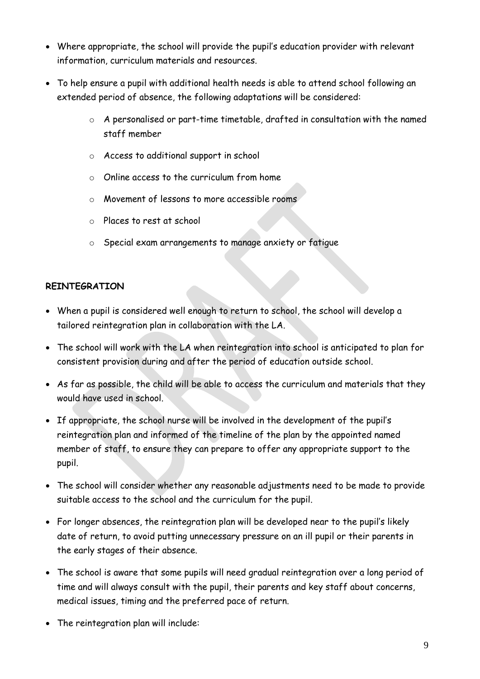- Where appropriate, the school will provide the pupil's education provider with relevant information, curriculum materials and resources.
- To help ensure a pupil with additional health needs is able to attend school following an extended period of absence, the following adaptations will be considered:
	- o A personalised or part-time timetable, drafted in consultation with the named staff member
	- o Access to additional support in school
	- o Online access to the curriculum from home
	- o Movement of lessons to more accessible rooms
	- o Places to rest at school
	- o Special exam arrangements to manage anxiety or fatigue

# **REINTEGRATION**

- When a pupil is considered well enough to return to school, the school will develop a tailored reintegration plan in collaboration with the LA.
- The school will work with the LA when reintegration into school is anticipated to plan for consistent provision during and after the period of education outside school.
- As far as possible, the child will be able to access the curriculum and materials that they would have used in school.
- If appropriate, the school nurse will be involved in the development of the pupil's reintegration plan and informed of the timeline of the plan by the appointed named member of staff, to ensure they can prepare to offer any appropriate support to the pupil.
- The school will consider whether any reasonable adjustments need to be made to provide suitable access to the school and the curriculum for the pupil.
- For longer absences, the reintegration plan will be developed near to the pupil's likely date of return, to avoid putting unnecessary pressure on an ill pupil or their parents in the early stages of their absence.
- The school is aware that some pupils will need gradual reintegration over a long period of time and will always consult with the pupil, their parents and key staff about concerns, medical issues, timing and the preferred pace of return.
- The reintegration plan will include: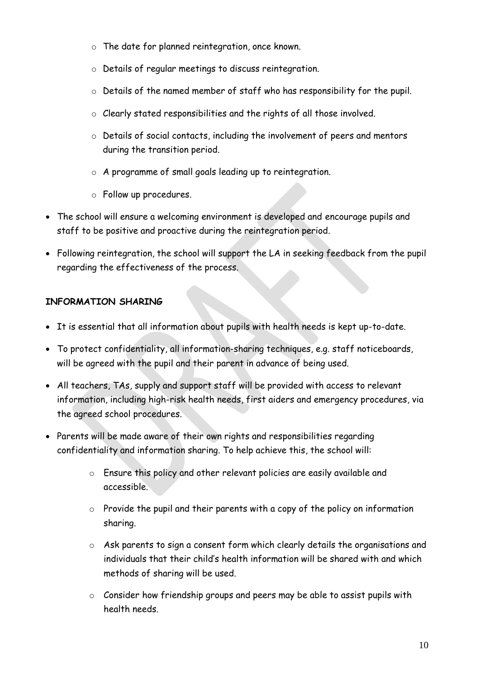- o The date for planned reintegration, once known.
- o Details of regular meetings to discuss reintegration.
- o Details of the named member of staff who has responsibility for the pupil.
- o Clearly stated responsibilities and the rights of all those involved.
- o Details of social contacts, including the involvement of peers and mentors during the transition period.
- o A programme of small goals leading up to reintegration.
- o Follow up procedures.
- The school will ensure a welcoming environment is developed and encourage pupils and staff to be positive and proactive during the reintegration period.
- Following reintegration, the school will support the LA in seeking feedback from the pupil regarding the effectiveness of the process.

# **INFORMATION SHARING**

- It is essential that all information about pupils with health needs is kept up-to-date.
- To protect confidentiality, all information-sharing techniques, e.g. staff noticeboards, will be agreed with the pupil and their parent in advance of being used.
- All teachers, TAs, supply and support staff will be provided with access to relevant information, including high-risk health needs, first aiders and emergency procedures, via the agreed school procedures.
- Parents will be made aware of their own rights and responsibilities regarding confidentiality and information sharing. To help achieve this, the school will:
	- o Ensure this policy and other relevant policies are easily available and accessible.
	- $\circ$  Provide the pupil and their parents with a copy of the policy on information sharing.
	- o Ask parents to sign a consent form which clearly details the organisations and individuals that their child's health information will be shared with and which methods of sharing will be used.
	- o Consider how friendship groups and peers may be able to assist pupils with health needs.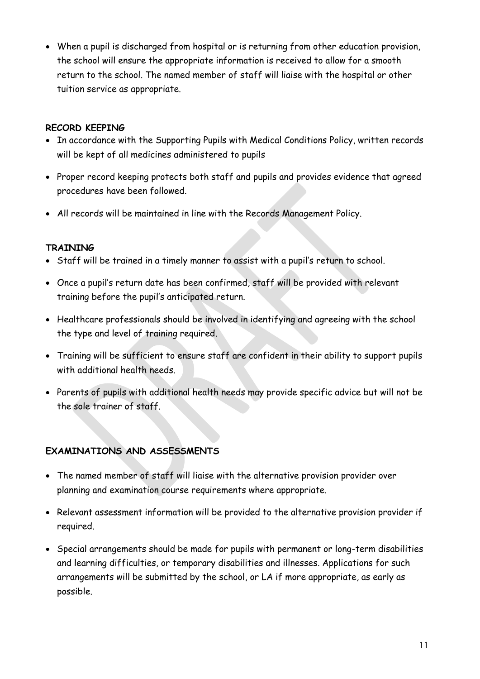• When a pupil is discharged from hospital or is returning from other education provision, the school will ensure the appropriate information is received to allow for a smooth return to the school. The named member of staff will liaise with the hospital or other tuition service as appropriate.

# **RECORD KEEPING**

- In accordance with the Supporting Pupils with Medical Conditions Policy, written records will be kept of all medicines administered to pupils
- Proper record keeping protects both staff and pupils and provides evidence that agreed procedures have been followed.
- All records will be maintained in line with the Records Management Policy.

# **TRAINING**

- Staff will be trained in a timely manner to assist with a pupil's return to school.
- Once a pupil's return date has been confirmed, staff will be provided with relevant training before the pupil's anticipated return.
- Healthcare professionals should be involved in identifying and agreeing with the school the type and level of training required.
- Training will be sufficient to ensure staff are confident in their ability to support pupils with additional health needs.
- Parents of pupils with additional health needs may provide specific advice but will not be the sole trainer of staff.

# **EXAMINATIONS AND ASSESSMENTS**

- The named member of staff will liaise with the alternative provision provider over planning and examination course requirements where appropriate.
- Relevant assessment information will be provided to the alternative provision provider if required.
- Special arrangements should be made for pupils with permanent or long-term disabilities and learning difficulties, or temporary disabilities and illnesses. Applications for such arrangements will be submitted by the school, or LA if more appropriate, as early as possible.